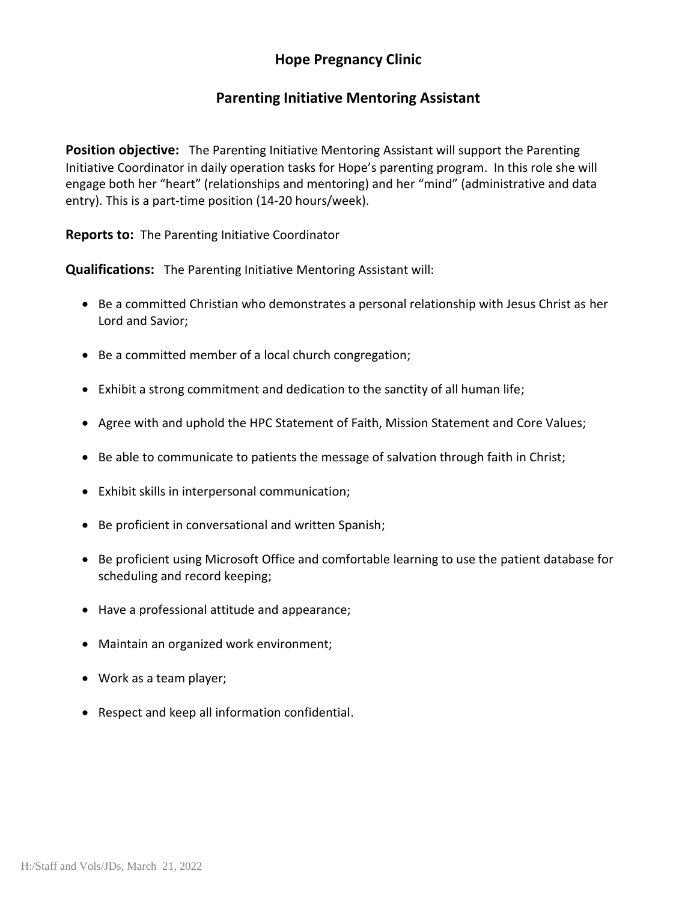## **Hope Pregnancy Clinic**

## **Parenting Initiative Mentoring Assistant**

**Position objective:** The Parenting Initiative Mentoring Assistant will support the Parenting Initiative Coordinator in daily operation tasks for Hope's parenting program. In this role she will engage both her "heart" (relationships and mentoring) and her "mind" (administrative and data entry). This is a part-time position (14-20 hours/week).

**Reports to:** The Parenting Initiative Coordinator

**Qualifications:** The Parenting Initiative Mentoring Assistant will:

- Be a committed Christian who demonstrates a personal relationship with Jesus Christ as her Lord and Savior;
- Be a committed member of a local church congregation;
- Exhibit a strong commitment and dedication to the sanctity of all human life;
- Agree with and uphold the HPC Statement of Faith, Mission Statement and Core Values;
- Be able to communicate to patients the message of salvation through faith in Christ;
- Exhibit skills in interpersonal communication;
- Be proficient in conversational and written Spanish;
- Be proficient using Microsoft Office and comfortable learning to use the patient database for scheduling and record keeping;
- Have a professional attitude and appearance;
- Maintain an organized work environment;
- Work as a team player;
- Respect and keep all information confidential.